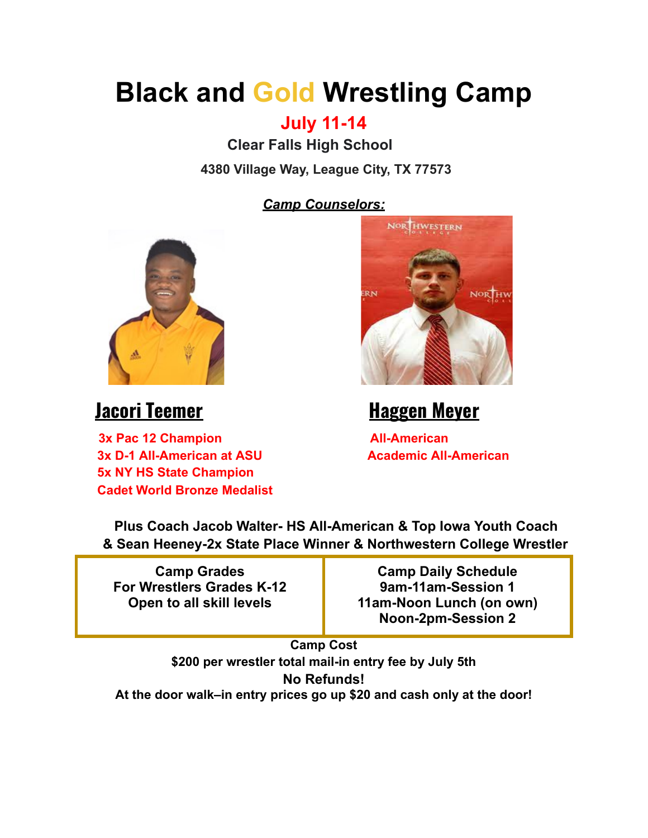# **Black and Gold Wrestling Camp**

### **July 11-14**

**Clear Falls High School**

**4380 Village Way, League City, TX 77573**

*Camp Counselors:*



**3x Pac 12 Champion All-American 3x D-1 All-American at ASU Academic All-American 5x NY HS State Champion Cadet World Bronze Medalist**



## **Jacori Teemer Haggen Meyer**

**Plus Coach Jacob Walter- HS All-American & Top Iowa Youth Coach & Sean Heeney-2x State Place Winner & Northwestern College Wrestler**

**Camp Grades For Wrestlers Grades K-12 Open to all skill levels**

**Camp Daily Schedule 9am-11am-Session 1 11am-Noon Lunch (on own) Noon-2pm-Session 2**

**Camp Cost \$200 per wrestler total mail-in entry fee by July 5th No Refunds! At the door walk–in entry prices go up \$20 and cash only at the door!**